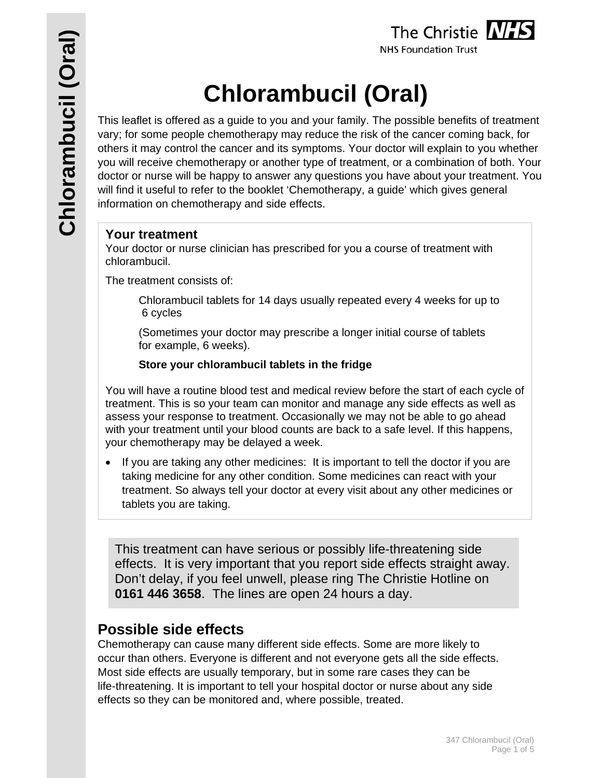

# **Chlorambucil (Oral)**

This leaflet is offered as a guide to you and your family. The possible benefits of treatment vary; for some people chemotherapy may reduce the risk of the cancer coming back, for others it may control the cancer and its symptoms. Your doctor will explain to you whether you will receive chemotherapy or another type of treatment, or a combination of both. Your doctor or nurse will be happy to answer any questions you have about your treatment. You will find it useful to refer to the booklet 'Chemotherapy, a guide' which gives general information on chemotherapy and side effects.

## **Your treatment**

Your doctor or nurse clinician has prescribed for you a course of treatment with chlorambucil.

The treatment consists of:

Chlorambucil tablets for 14 days usually repeated every 4 weeks for up to 6 cycles

 (Sometimes your doctor may prescribe a longer initial course of tablets for example, 6 weeks).

## **Store your chlorambucil tablets in the fridge**

You will have a routine blood test and medical review before the start of each cycle of treatment. This is so your team can monitor and manage any side effects as well as assess your response to treatment. Occasionally we may not be able to go ahead with your treatment until your blood counts are back to a safe level. If this happens, your chemotherapy may be delayed a week.

• If you are taking any other medicines: It is important to tell the doctor if you are taking medicine for any other condition. Some medicines can react with your treatment. So always tell your doctor at every visit about any other medicines or tablets you are taking.

This treatment can have serious or possibly life-threatening side effects. It is very important that you report side effects straight away. Don't delay, if you feel unwell, please ring The Christie Hotline on **0161 446 3658**. The lines are open 24 hours a day.

# **Possible side effects**

Chemotherapy can cause many different side effects. Some are more likely to occur than others. Everyone is different and not everyone gets all the side effects. Most side effects are usually temporary, but in some rare cases they can be life-threatening. It is important to tell your hospital doctor or nurse about any side effects so they can be monitored and, where possible, treated.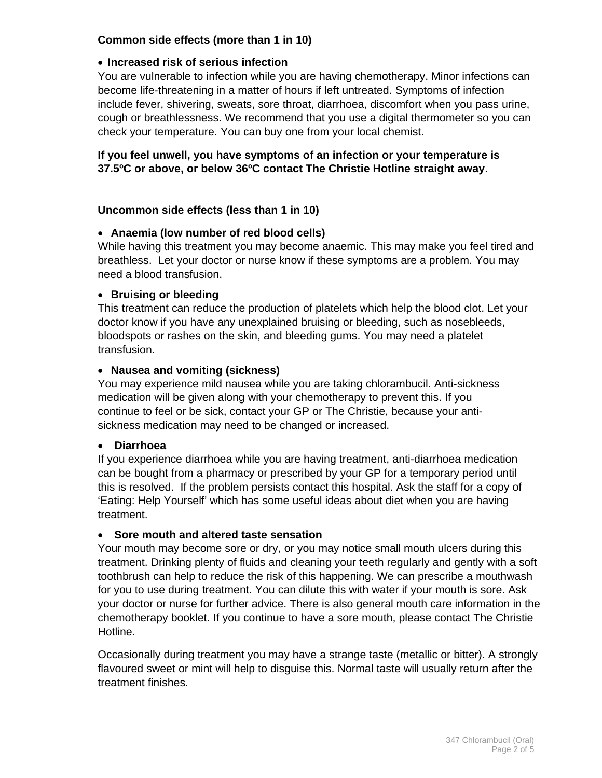#### **Common side effects (more than 1 in 10)**

#### **Increased risk of serious infection**

You are vulnerable to infection while you are having chemotherapy. Minor infections can become life-threatening in a matter of hours if left untreated. Symptoms of infection include fever, shivering, sweats, sore throat, diarrhoea, discomfort when you pass urine, cough or breathlessness. We recommend that you use a digital thermometer so you can check your temperature. You can buy one from your local chemist.

#### **If you feel unwell, you have symptoms of an infection or your temperature is 37.5ºC or above, or below 36ºC contact The Christie Hotline straight away**.

#### **Uncommon side effects (less than 1 in 10)**

#### **Anaemia (low number of red blood cells)**

While having this treatment you may become anaemic. This may make you feel tired and breathless. Let your doctor or nurse know if these symptoms are a problem. You may need a blood transfusion.

#### **Bruising or bleeding**

This treatment can reduce the production of platelets which help the blood clot. Let your doctor know if you have any unexplained bruising or bleeding, such as nosebleeds, bloodspots or rashes on the skin, and bleeding gums. You may need a platelet transfusion.

#### **Nausea and vomiting (sickness)**

You may experience mild nausea while you are taking chlorambucil. Anti-sickness medication will be given along with your chemotherapy to prevent this. If you continue to feel or be sick, contact your GP or The Christie, because your antisickness medication may need to be changed or increased.

#### **Diarrhoea**

If you experience diarrhoea while you are having treatment, anti-diarrhoea medication can be bought from a pharmacy or prescribed by your GP for a temporary period until this is resolved. If the problem persists contact this hospital. Ask the staff for a copy of 'Eating: Help Yourself' which has some useful ideas about diet when you are having treatment.

#### **Sore mouth and altered taste sensation**

Your mouth may become sore or dry, or you may notice small mouth ulcers during this treatment. Drinking plenty of fluids and cleaning your teeth regularly and gently with a soft toothbrush can help to reduce the risk of this happening. We can prescribe a mouthwash for you to use during treatment. You can dilute this with water if your mouth is sore. Ask your doctor or nurse for further advice. There is also general mouth care information in the chemotherapy booklet. If you continue to have a sore mouth, please contact The Christie Hotline.

Occasionally during treatment you may have a strange taste (metallic or bitter). A strongly flavoured sweet or mint will help to disguise this. Normal taste will usually return after the treatment finishes.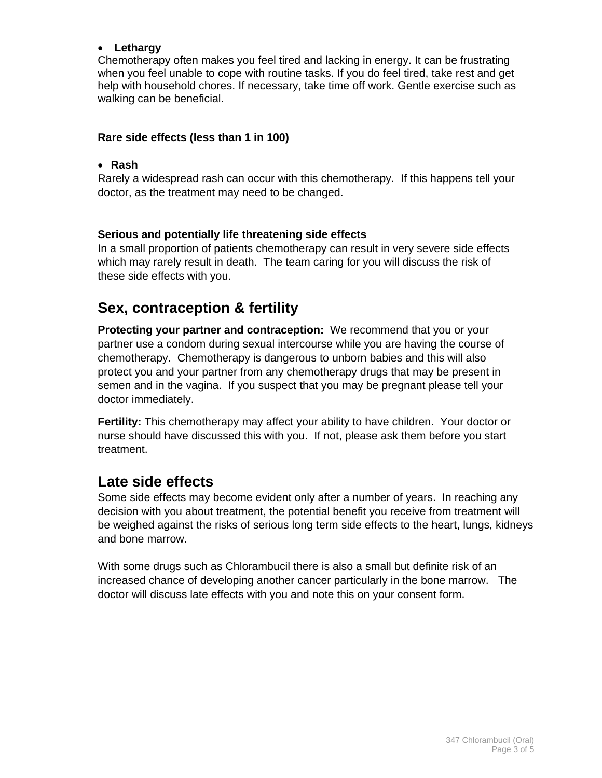#### **Lethargy**

Chemotherapy often makes you feel tired and lacking in energy. It can be frustrating when you feel unable to cope with routine tasks. If you do feel tired, take rest and get help with household chores. If necessary, take time off work. Gentle exercise such as walking can be beneficial.

#### **Rare side effects (less than 1 in 100)**

#### **Rash**

Rarely a widespread rash can occur with this chemotherapy. If this happens tell your doctor, as the treatment may need to be changed.

#### **Serious and potentially life threatening side effects**

In a small proportion of patients chemotherapy can result in very severe side effects which may rarely result in death. The team caring for you will discuss the risk of these side effects with you.

# **Sex, contraception & fertility**

**Protecting your partner and contraception:** We recommend that you or your partner use a condom during sexual intercourse while you are having the course of chemotherapy. Chemotherapy is dangerous to unborn babies and this will also protect you and your partner from any chemotherapy drugs that may be present in semen and in the vagina. If you suspect that you may be pregnant please tell your doctor immediately.

**Fertility:** This chemotherapy may affect your ability to have children. Your doctor or nurse should have discussed this with you. If not, please ask them before you start treatment.

# **Late side effects**

Some side effects may become evident only after a number of years. In reaching any decision with you about treatment, the potential benefit you receive from treatment will be weighed against the risks of serious long term side effects to the heart, lungs, kidneys and bone marrow.

With some drugs such as Chlorambucil there is also a small but definite risk of an increased chance of developing another cancer particularly in the bone marrow. The doctor will discuss late effects with you and note this on your consent form.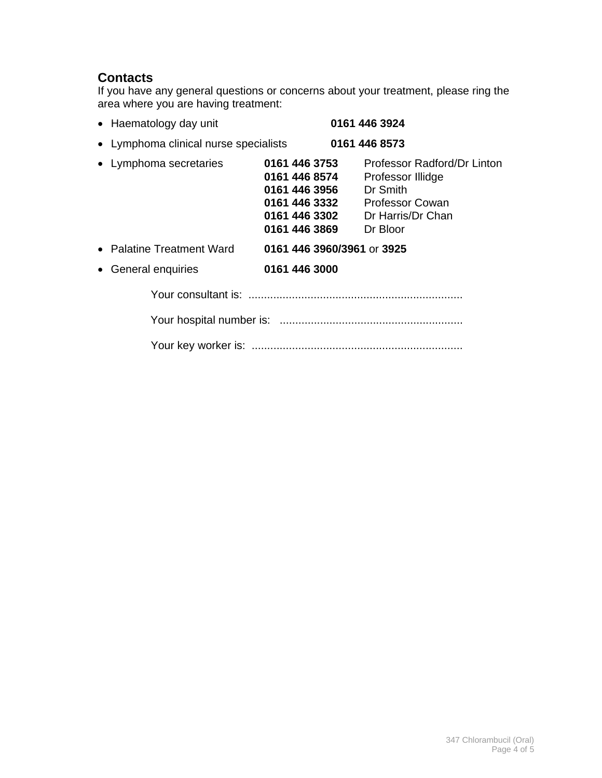## **Contacts**

If you have any general questions or concerns about your treatment, please ring the area where you are having treatment:

| • Haematology day unit                |                                                                                                    | 0161 446 3924                                                                                                           |
|---------------------------------------|----------------------------------------------------------------------------------------------------|-------------------------------------------------------------------------------------------------------------------------|
| • Lymphoma clinical nurse specialists |                                                                                                    | 0161 446 8573                                                                                                           |
| • Lymphoma secretaries                | 0161 446 3753<br>0161 446 8574<br>0161 446 3956<br>0161 446 3332<br>0161 446 3302<br>0161 446 3869 | Professor Radford/Dr Linton<br>Professor Illidge<br>Dr Smith<br><b>Professor Cowan</b><br>Dr Harris/Dr Chan<br>Dr Bloor |
| • Palatine Treatment Ward             | 0161 446 3960/3961 or 3925                                                                         |                                                                                                                         |
| General enquiries                     | 0161 446 3000                                                                                      |                                                                                                                         |
|                                       |                                                                                                    |                                                                                                                         |
|                                       |                                                                                                    |                                                                                                                         |
|                                       |                                                                                                    |                                                                                                                         |